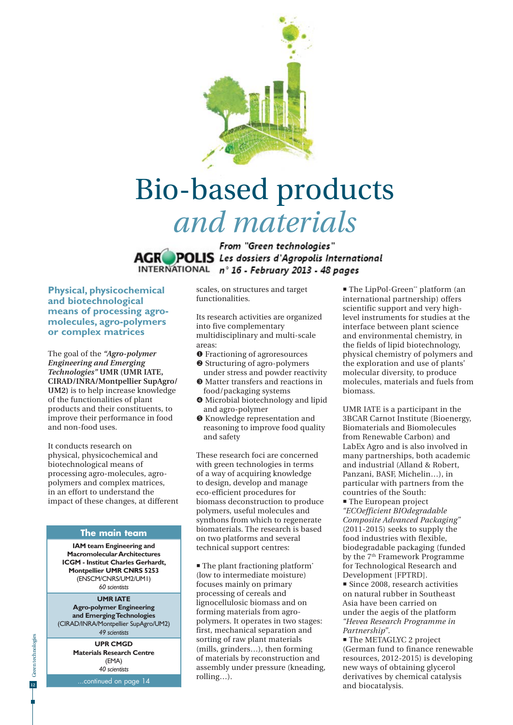

# Bio-based products *and materials*

From "Green technologies" **AGR POLIS** Les dossiers d'Agropolis International INTERNATIONAL nº 16 - February 2013 - 48 pages

**Physical, physicochemical and biotechnological means of processing agromolecules, agro-polymers or complex matrices**

The goal of the *"Agro-polymer Engineering and Emerging Technologies"* **UMR (UMR IATE, CIRAD/INRA/Montpellier SupAgro/ UM2)** is to help increase knowledge of the functionalities of plant products and their constituents, to improve their performance in food and non-food uses.

It conducts research on physical, physicochemical and biotechnological means of processing agro-molecules, agropolymers and complex matrices, in an effort to understand the impact of these changes, at different

#### **The main team**

**IAM team Engineering and Macromolecular Architectures ICGM - Institut Charles Gerhardt, Montpellier UMR CNRS 5253** (ENSCM/CNRS/UM2/UM1) *60 scientists*

#### **UMR IATE**

**Agro-polymer Engineering and Emerging Technologies** (CIRAD/INRA/Montpellier SupAgro/UM2) *49 scientists*

**UPR CMGD Materials Research Centre** (EMA) *40 scientists*

.continued on page 14

scales, on structures and target functionalities.

Its research activities are organized into five complementary multidisciplinary and multi-scale areas:

- **O** Fractioning of agroresources
- <sup> $\odot$ </sup> Structuring of agro-polymers under stress and powder reactivity
- Matter transfers and reactions in food/packaging systems
- $\bullet$  Microbial biotechnology and lipid and agro-polymer
- $\bullet$  Knowledge representation and reasoning to improve food quality and safety

These research foci are concerned with green technologies in terms of a way of acquiring knowledge to design, develop and manage eco-efficient procedures for biomass deconstruction to produce polymers, useful molecules and synthons from which to regenerate biomaterials. The research is based on two platforms and several technical support centres:

 $\blacksquare$  The plant fractioning platform\* (low to intermediate moisture) focuses mainly on primary processing of cereals and lignocellulosic biomass and on forming materials from agropolymers. It operates in two stages: first, mechanical separation and sorting of raw plant materials (mills, grinders…), then forming of materials by reconstruction and assembly under pressure (kneading, rolling…).

■ The LipPol-Green\*\* platform (an international partnership) offers scientific support and very highlevel instruments for studies at the interface between plant science and environmental chemistry, in the fields of lipid biotechnology, physical chemistry of polymers and the exploration and use of plants' molecular diversity, to produce molecules, materials and fuels from biomass.

UMR IATE is a participant in the 3BCAR Carnot Institute (Bioenergy, Biomaterials and Biomolecules from Renewable Carbon) and LabEx Agro and is also involved in many partnerships, both academic and industrial (Alland & Robert, Panzani, BASF, Michelin…), in particular with partners from the countries of the South:

 The European project *"ECOefficient BIOdegradable Composite Advanced Packaging"* (2011-2015) seeks to supply the food industries with flexible, biodegradable packaging (funded by the 7<sup>th</sup> Framework Programme for Technological Research and Development [FPTRD].

**Since 2008, research activities** on natural rubber in Southeast Asia have been carried on under the aegis of the platform *"Hevea Research Programme in Partnership"*.

**The METAGLYC 2 project** (German fund to finance renewable resources, 2012-2015) is developing new ways of obtaining glycerol derivatives by chemical catalysis and biocatalysis.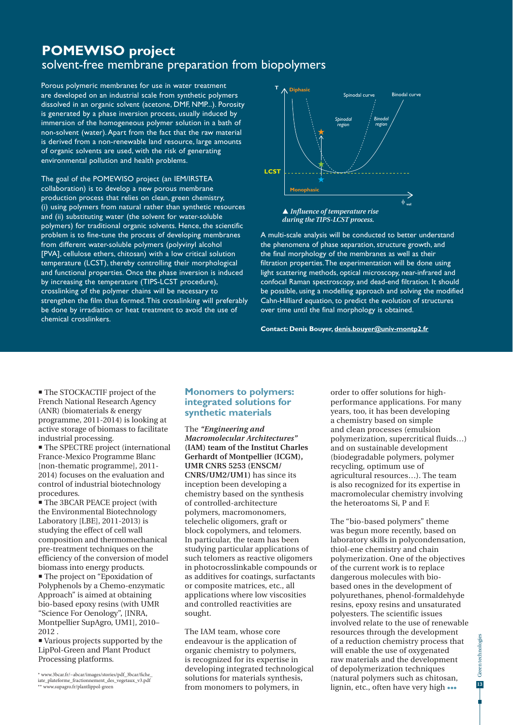## **POMEWISO project**  solvent-free membrane preparation from biopolymers

Porous polymeric membranes for use in water treatment are developed on an industrial scale from synthetic polymers dissolved in an organic solvent (acetone, DMF, NMP...). Porosity is generated by a phase inversion process, usually induced by immersion of the homogeneous polymer solution in a bath of non-solvent (water). Apart from the fact that the raw material is derived from a non-renewable land resource, large amounts of organic solvents are used, with the risk of generating environmental pollution and health problems.

The goal of the POMEWISO project (an IEM/IRSTEA collaboration) is to develop a new porous membrane production process that relies on clean, green chemistry, (i) using polymers from natural rather than synthetic resources and (ii) substituting water (the solvent for water-soluble polymers) for traditional organic solvents. Hence, the scientific problem is to fine-tune the process of developing membranes from different water-soluble polymers (polyvinyl alcohol [PVA], cellulose ethers, chitosan) with a low critical solution temperature (LCST), thereby controlling their morphological and functional properties. Once the phase inversion is induced by increasing the temperature (TIPS-LCST procedure), crosslinking of the polymer chains will be necessary to strengthen the film thus formed. This crosslinking will preferably be done by irradiation or heat treatment to avoid the use of chemical crosslinkers.



*during the TIPS-LCST process.*

A multi-scale analysis will be conducted to better understand the phenomena of phase separation, structure growth, and the final morphology of the membranes as well as their filtration properties. The experimentation will be done using light scattering methods, optical microscopy, near-infrared and confocal Raman spectroscopy, and dead-end filtration. It should be possible, using a modelling approach and solving the modified Cahn-Hilliard equation, to predict the evolution of structures over time until the final morphology is obtained.

**Contact: Denis Bouyer, denis.bouyer@univ-montp2.fr**

 The STOCKACTIF project of the French National Research Agency (ANR) (biomaterials & energy programme, 2011-2014) is looking at active storage of biomass to facilitate industrial processing.

**The SPECTRE project (international** France-Mexico Programme Blanc [non-thematic programme], 2011- 2014) focuses on the evaluation and control of industrial biotechnology procedures.

**The 3BCAR PEACE project (with** the Environmental Biotechnology Laboratory [LBE], 2011-2013) is studying the effect of cell wall composition and thermomechanical pre-treatment techniques on the efficiency of the conversion of model biomass into energy products. The project on "Epoxidation of Polyphenols by a Chemo-enzymatic Approach" is aimed at obtaining bio-based epoxy resins (with UMR "Science For Oenology", [INRA, Montpellier SupAgro, UM1], 2010– 2012 .

 Various projects supported by the LipPol-Green and Plant Product Processing platforms.

### **Monomers to polymers: integrated solutions for synthetic materials**

The *"Engineering and Macromolecular Architectures"*  **(IAM) team of the Institut Charles Gerhardt of Montpellier (ICGM), UMR CNRS 5253 (ENSCM/ CNRS/UM2/UM1)** has since its inception been developing a chemistry based on the synthesis of controlled-architecture polymers, macromonomers, telechelic oligomers, graft or block copolymers, and telomers. In particular, the team has been studying particular applications of such telomers as reactive oligomers in photocrosslinkable compounds or as additives for coatings, surfactants or composite matrices, etc., all applications where low viscosities and controlled reactivities are sought.

The IAM team, whose core endeavour is the application of organic chemistry to polymers, is recognized for its expertise in developing integrated technological solutions for materials synthesis, from monomers to polymers, in

order to offer solutions for highperformance applications. For many years, too, it has been developing a chemistry based on simple and clean processes (emulsion polymerization, supercritical fluids…) and on sustainable development (biodegradable polymers, polymer recycling, optimum use of agricultural resources…). The team is also recognized for its expertise in macromolecular chemistry involving the heteroatoms Si, P and F.

The "bio-based polymers" theme was begun more recently, based on laboratory skills in polycondensation, thiol-ene chemistry and chain polymerization. One of the objectives of the current work is to replace dangerous molecules with biobased ones in the development of polyurethanes, phenol-formaldehyde resins, epoxy resins and unsaturated polyesters. The scientific issues involved relate to the use of renewable resources through the development of a reduction chemistry process that will enable the use of oxygenated raw materials and the development of depolymerization techniques (natural polymers such as chitosan, lignin, etc., often have very high •••

<sup>\*</sup> www.3bcar.fr/~abcar/images/stories/pdf\_3bcar/fiche\_ iate\_plateforme\_fractionnement\_des\_vegetaux\_v3.pdf \*\* www.supagro.fr/plantlippol-green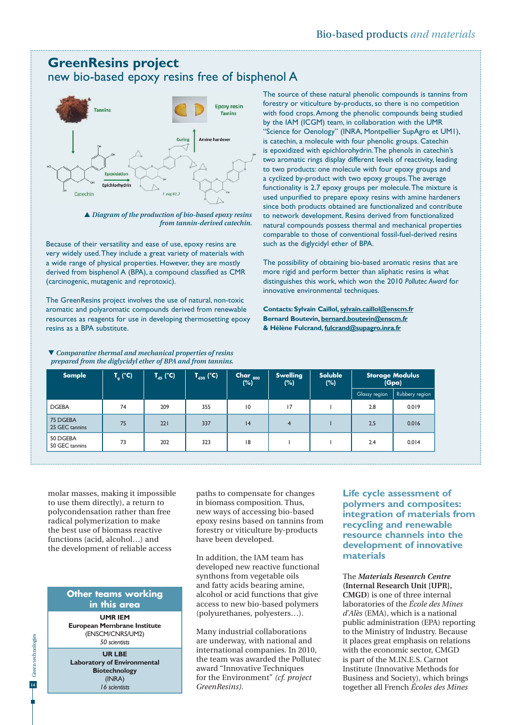## **GreenResins project**  new bio-based epoxy resins free of bisphenol A



 *Diagram of the production of bio-based epoxy resins from tannin-derived catechin.*

Because of their versatility and ease of use, epoxy resins are very widely used. They include a great variety of materials with a wide range of physical properties. However, they are mostly derived from bisphenol A (BPA), a compound classified as CMR (carcinogenic, mutagenic and reprotoxic).

The GreenResins project involves the use of natural, non-toxic aromatic and polyaromatic compounds derived from renewable resources as reagents for use in developing thermosetting epoxy resins as a BPA substitute.

 *Comparative thermal and mechanical properties of resins prepared from the diglycidyl ether of BPA and from tannins.*

The source of these natural phenolic compounds is tannins from forestry or viticulture by-products, so there is no competition with food crops. Among the phenolic compounds being studied by the IAM (ICGM) team, in collaboration with the UMR "Science for Oenology" (INRA, Montpellier SupAgro et UM1), is catechin, a molecule with four phenolic groups. Catechin is epoxidized with epichlorohydrin. The phenols in catechin's two aromatic rings display different levels of reactivity, leading to two products: one molecule with four epoxy groups and a cyclized by-product with two epoxy groups. The average functionality is 2.7 epoxy groups per molecule. The mixture is used unpurified to prepare epoxy resins with amine hardeners since both products obtained are functionalized and contribute to network development. Resins derived from functionalized natural compounds possess thermal and mechanical properties comparable to those of conventional fossil-fuel-derived resins such as the diglycidyl ether of BPA.

The possibility of obtaining bio-based aromatic resins that are more rigid and perform better than aliphatic resins is what distinguishes this work, which won the 2010 *Pollutec Award* for innovative environmental techniques.

**Contacts: Sylvain Caillol, sylvain.caillol@enscm.fr Bernard Boutevin, bernard.boutevin@enscm.fr & Hélène Fulcrand, fulcrand@supagro.inra.fr**

| Sample                     | $\mathbf{T}_\mathbf{g}$ (°C) $\mathbf{r}$ | $T_{ds}$ (°C) | $\left  \mathbf{T}_{_{\mathbf{d30}}} \left( \mathbf{^{\circ}C} \right) \right $ | Char <sub>800</sub><br>(%) | <b>Swelling</b><br>(%) | <b>Soluble</b><br>(%) | <b>Storage Modulus</b><br>(Gpa) |                |
|----------------------------|-------------------------------------------|---------------|---------------------------------------------------------------------------------|----------------------------|------------------------|-----------------------|---------------------------------|----------------|
|                            |                                           |               |                                                                                 |                            |                        |                       | Glassy region                   | Rubbery region |
| <b>DGEBA</b>               | 74                                        | 209           | 355                                                                             | $\overline{0}$             | 17                     |                       | 2.8                             | 0.019          |
| 75 DGEBA<br>25 GEC tannins | 75                                        | 221           | 337                                                                             | 4                          | $\overline{4}$         |                       | 2.5                             | 0.016          |
| 50 DGEBA<br>50 GEC tannins | 73                                        | 202           | 323                                                                             | 18                         |                        |                       | 2.4                             | 0.014          |

molar masses, making it impossible to use them directly), a return to polycondensation rather than free radical polymerization to make the best use of biomass reactive functions (acid, alcohol…) and the development of reliable access

#### **Other teams working in this area**

**UMR IEM European Membrane Institute** (ENSCM/CNRS/UM2) *50 scientists*

**UR LBE Laboratory of Environmental Biotechnology** (INRA) *16 scientists*

paths to compensate for changes in biomass composition. Thus, new ways of accessing bio-based epoxy resins based on tannins from forestry or viticulture by-products have been developed.

In addition, the IAM team has developed new reactive functional synthons from vegetable oils and fatty acids bearing amine, alcohol or acid functions that give access to new bio-based polymers (polyurethanes, polyesters…).

Many industrial collaborations are underway, with national and international companies. In 2010, the team was awarded the Pollutec award "Innovative Techniques for the Environment" *(cf. project GreenResins).* 

**Life cycle assessment of polymers and composites: integration of materials from recycling and renewable resource channels into the development of innovative materials**

The *Materials Research Centre* **(Internal Research Unit [UPR], CMGD**) is one of three internal laboratories of the *École des Mines d'Alès* (EMA), which is a national public administration (EPA) reporting to the Ministry of Industry. Because it places great emphasis on relations with the economic sector, CMGD is part of the M.IN.E.S. Carnot Institute (Innovative Methods for Business and Society), which brings together all French *Écoles des Mines*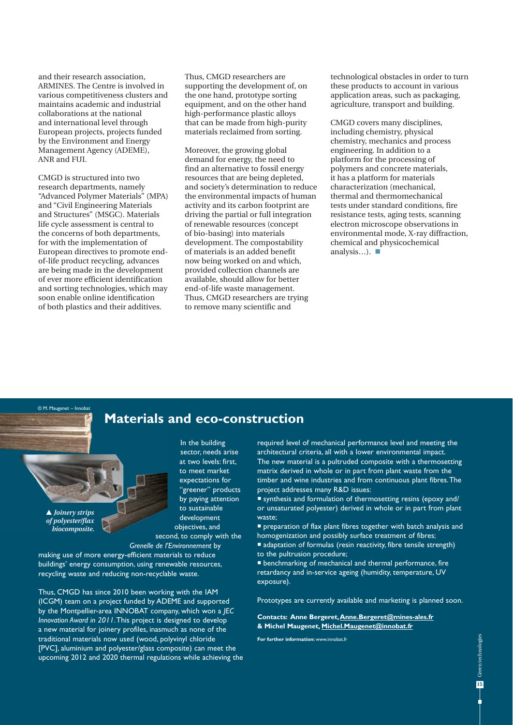and their research association, ARMINES. The Centre is involved in various competitiveness clusters and maintains academic and industrial collaborations at the national and international level through European projects, projects funded by the Environment and Energy Management Agency (ADEME), ANR and FUI.

CMGD is structured into two research departments, namely "Advanced Polymer Materials" (MPA) and "Civil Engineering Materials and Structures" (MSGC). Materials life cycle assessment is central to the concerns of both departments, for with the implementation of European directives to promote endof-life product recycling, advances are being made in the development of ever more efficient identification and sorting technologies, which may soon enable online identification of both plastics and their additives.

Thus, CMGD researchers are supporting the development of, on the one hand, prototype sorting equipment, and on the other hand high-performance plastic alloys that can be made from high-purity materials reclaimed from sorting.

Moreover, the growing global demand for energy, the need to find an alternative to fossil energy resources that are being depleted, and society's determination to reduce the environmental impacts of human activity and its carbon footprint are driving the partial or full integration of renewable resources (concept of bio-basing) into materials development. The compostability of materials is an added benefit now being worked on and which, provided collection channels are available, should allow for better end-of-life waste management. Thus, CMGD researchers are trying to remove many scientific and

technological obstacles in order to turn these products to account in various application areas, such as packaging, agriculture, transport and building.

CMGD covers many disciplines, including chemistry, physical chemistry, mechanics and process engineering. In addition to a platform for the processing of polymers and concrete materials, it has a platform for materials characterization (mechanical, thermal and thermomechanical tests under standard conditions, fire resistance tests, aging tests, scanning electron microscope observations in environmental mode, X-ray diffraction, chemical and physicochemical analysis...).  $\blacksquare$ 

**Materials and eco-construction**

 *Joinery strips of polyester/flax biocomposite.*

© M. Maugenet – li

In the building sector, needs arise at two levels: first, to meet market expectations for "greener" products by paying attention to sustainable development objectives, and second, to comply with the

*Grenelle de l'Environnement* by

making use of more energy-efficient materials to reduce buildings' energy consumption, using renewable resources, recycling waste and reducing non-recyclable waste.

Thus, CMGD has since 2010 been working with the IAM (ICGM) team on a project funded by ADEME and supported by the Montpellier-area INNOBAT company, which won a *JEC Innovation Award in 2011*. This project is designed to develop a new material for joinery profiles, inasmuch as none of the traditional materials now used (wood, polyvinyl chloride [PVC], aluminium and polyester/glass composite) can meet the upcoming 2012 and 2020 thermal regulations while achieving the required level of mechanical performance level and meeting the architectural criteria, all with a lower environmental impact. The new material is a pultruded composite with a thermosetting matrix derived in whole or in part from plant waste from the timber and wine industries and from continuous plant fibres. The project addresses many R&D issues:

 synthesis and formulation of thermosetting resins (epoxy and/ or unsaturated polyester) derived in whole or in part from plant waste;

**P** preparation of flax plant fibres together with batch analysis and homogenization and possibly surface treatment of fibres;  $\blacksquare$  adaptation of formulas (resin reactivity, fibre tensile strength) to the pultrusion procedure;

 benchmarking of mechanical and thermal performance, fire retardancy and in-service ageing (humidity, temperature, UV exposure).

Prototypes are currently available and marketing is planned soon.

**Contacts: Anne Bergeret, Anne.Bergeret@mines-ales.fr & Michel Maugenet, Michel.Maugenet@innobat.fr**

**For further information:** www.innobat.fr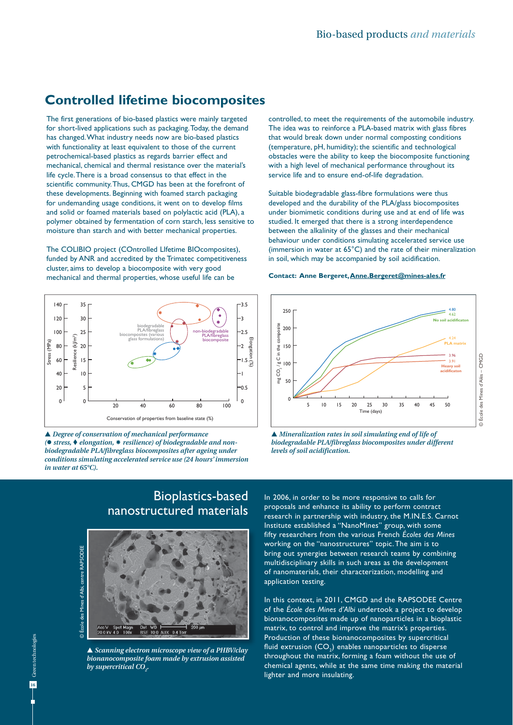## **Controlled lifetime biocomposites**

The first generations of bio-based plastics were mainly targeted for short-lived applications such as packaging. Today, the demand has changed. What industry needs now are bio-based plastics with functionality at least equivalent to those of the current petrochemical-based plastics as regards barrier effect and mechanical, chemical and thermal resistance over the material's life cycle. There is a broad consensus to that effect in the scientific community. Thus, CMGD has been at the forefront of these developments. Beginning with foamed starch packaging for undemanding usage conditions, it went on to develop films and solid or foamed materials based on polylactic acid (PLA), a polymer obtained by fermentation of corn starch, less sensitive to moisture than starch and with better mechanical properties.

The COLIBIO project (COntrolled LIfetime BIOcomposites), funded by ANR and accredited by the Trimatec competitiveness cluster, aims to develop a biocomposite with very good mechanical and thermal properties, whose useful life can be



 *Degree of conservation of mechanical performance ( stress, elongation, resilience) of biodegradable and nonbiodegradable PLA/fibreglass biocomposites after ageing under conditions simulating accelerated service use (24 hours' immersion in water at 65°C).*

controlled, to meet the requirements of the automobile industry. The idea was to reinforce a PLA-based matrix with glass fibres that would break down under normal composting conditions (temperature, pH, humidity); the scientific and technological obstacles were the ability to keep the biocomposite functioning with a high level of mechanical performance throughout its service life and to ensure end-of-life degradation.

Suitable biodegradable glass-fibre formulations were thus developed and the durability of the PLA/glass biocomposites under biomimetic conditions during use and at end of life was studied. It emerged that there is a strong interdependence between the alkalinity of the glasses and their mechanical behaviour under conditions simulating accelerated service use (immersion in water at 65°C) and the rate of their mineralization in soil, which may be accompanied by soil acidification.

#### **Contact: Anne Bergeret, Anne.Bergeret@mines-ales.fr**



 *Mineralization rates in soil simulating end of life of biodegradable PLA/fibreglass biocomposites under different levels of soil acidification.*





 *Scanning electron microscope view of a PHBV/clay bionanocomposite foam made by extrusion assisted by supercritical CO2 .*

In 2006, in order to be more responsive to calls for proposals and enhance its ability to perform contract research in partnership with industry, the M.IN.E.S. Carnot Institute established a "NanoMines" group, with some fifty researchers from the various French *Écoles des Mines* working on the "nanostructures" topic. The aim is to bring out synergies between research teams by combining multidisciplinary skills in such areas as the development of nanomaterials, their characterization, modelling and application testing.

In this context, in 2011, CMGD and the RAPSODEE Centre of the *École des Mines d'Albi* undertook a project to develop bionanocomposites made up of nanoparticles in a bioplastic matrix, to control and improve the matrix's properties. Production of these bionanocomposites by supercritical fluid extrusion (CO $_{\textrm{\tiny{2}}}$ ) enables nanoparticles to disperse throughout the matrix, forming a foam without the use of chemical agents, while at the same time making the material lighter and more insulating.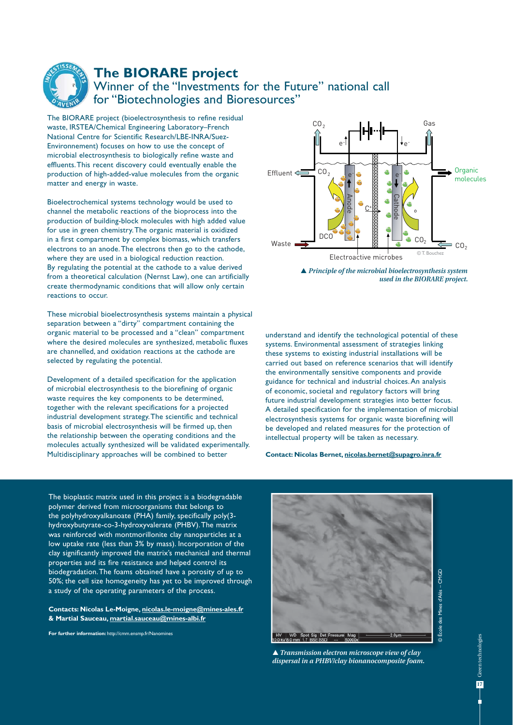

## **The BIORARE project**

## Winner of the "Investments for the Future" national call for "Biotechnologies and Bioresources"

The BIORARE project (bioelectrosynthesis to refine residual waste, IRSTEA/Chemical Engineering Laboratory–French National Centre for Scientific Research/LBE-INRA/Suez-Environnement) focuses on how to use the concept of microbial electrosynthesis to biologically refine waste and effluents. This recent discovery could eventually enable the production of high-added-value molecules from the organic matter and energy in waste.

Bioelectrochemical systems technology would be used to channel the metabolic reactions of the bioprocess into the production of building-block molecules with high added value for use in green chemistry. The organic material is oxidized in a first compartment by complex biomass, which transfers electrons to an anode. The electrons then go to the cathode, where they are used in a biological reduction reaction. By regulating the potential at the cathode to a value derived from a theoretical calculation (Nernst Law), one can artificially create thermodynamic conditions that will allow only certain reactions to occur.

These microbial bioelectrosynthesis systems maintain a physical separation between a "dirty" compartment containing the organic material to be processed and a "clean" compartment where the desired molecules are synthesized, metabolic fluxes are channelled, and oxidation reactions at the cathode are selected by regulating the potential.

Development of a detailed specification for the application of microbial electrosynthesis to the biorefining of organic waste requires the key components to be determined, together with the relevant specifications for a projected industrial development strategy. The scientific and technical basis of microbial electrosynthesis will be firmed up, then the relationship between the operating conditions and the molecules actually synthesized will be validated experimentally. Multidisciplinary approaches will be combined to better



 *Principle of the microbial bioelectrosynthesis system used in the BIORARE project.*

understand and identify the technological potential of these systems. Environmental assessment of strategies linking these systems to existing industrial installations will be carried out based on reference scenarios that will identify the environmentally sensitive components and provide guidance for technical and industrial choices. An analysis of economic, societal and regulatory factors will bring future industrial development strategies into better focus. A detailed specification for the implementation of microbial electrosynthesis systems for organic waste biorefining will be developed and related measures for the protection of intellectual property will be taken as necessary. Waste **DECONDITE:** Nicolas Bernet, nicolas Bernet, Nicolas Bernet, Nicolas Bernet, Nicolas Bernet, Nicolas Bernet, Nicolas Bernet, Nicolas Bernet, Nicolas Bernet, Nicolas Bernet, Nicolas Bernet, Nicolas Bernet, Nicolas Ber

The bioplastic matrix used in this project is a biodegradable polymer derived from microorganisms that belongs to the polyhydroxyalkanoate (PHA) family, specifically poly(3 hydroxybutyrate-co-3-hydroxyvalerate (PHBV). The matrix was reinforced with montmorillonite clay nanoparticles at a low uptake rate (less than 3% by mass). Incorporation of the clay significantly improved the matrix's mechanical and thermal properties and its fire resistance and helped control its biodegradation. The foams obtained have a porosity of up to 50%; the cell size homogeneity has yet to be improved through a study of the operating parameters of the process.

**Contacts: Nicolas Le-Moigne, nicolas.le-moigne@mines-ales.fr & Martial Sauceau, martial.sauceau@mines-albi.fr**

**For further information:** http://cmm.ensmp.fr/Nanomines



 *Transmission electron microscope view of clay dispersal in a PHBV/clay bionanocomposite foam.*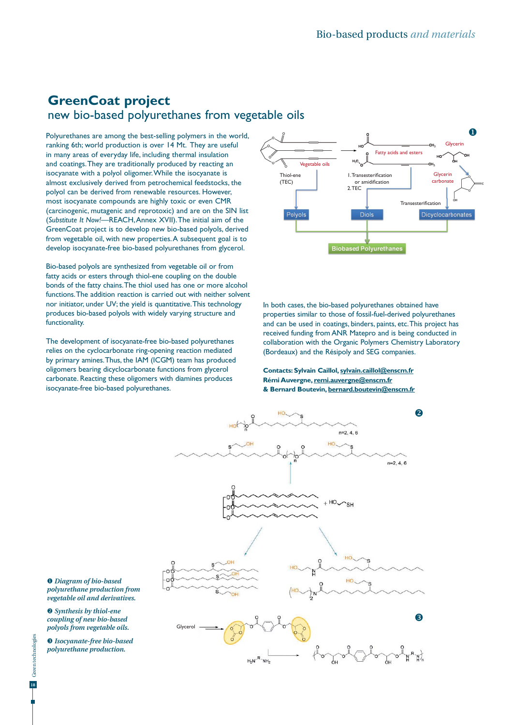## **GreenCoat project**  new bio-based polyurethanes from vegetable oils

Polyurethanes are among the best-selling polymers in the world, ranking 6th; world production is over 14 Mt. They are useful in many areas of everyday life, including thermal insulation and coatings. They are traditionally produced by reacting an isocyanate with a polyol oligomer. While the isocyanate is almost exclusively derived from petrochemical feedstocks, the polyol can be derived from renewable resources. However, most isocyanate compounds are highly toxic or even CMR (carcinogenic, mutagenic and reprotoxic) and are on the SIN list (*Substitute It Now!*—REACH, Annex XVII). The initial aim of the GreenCoat project is to develop new bio-based polyols, derived from vegetable oil, with new properties. A subsequent goal is to develop isocyanate-free bio-based polyurethanes from glycerol.

Bio-based polyols are synthesized from vegetable oil or from fatty acids or esters through thiol-ene coupling on the double bonds of the fatty chains. The thiol used has one or more alcohol functions. The addition reaction is carried out with neither solvent nor initiator, under UV; the yield is quantitative. This technology produces bio-based polyols with widely varying structure and functionality.

The development of isocyanate-free bio-based polyurethanes relies on the cyclocarbonate ring-opening reaction mediated by primary amines. Thus, the IAM (ICGM) team has produced oligomers bearing dicyclocarbonate functions from glycerol carbonate. Reacting these oligomers with diamines produces isocyanate-free bio-based polyurethanes.



In both cases, the bio-based polyurethanes obtained have properties similar to those of fossil-fuel-derived polyurethanes and can be used in coatings, binders, paints, etc. This project has received funding from ANR Matepro and is being conducted in collaboration with the Organic Polymers Chemistry Laboratory (Bordeaux) and the Résipoly and SEG companies.

#### **Contacts: Sylvain Caillol, sylvain.caillol@enscm.fr Rémi Auvergne, remi.auvergne@enscm.fr & Bernard Boutevin, bernard.boutevin@enscm.fr**



 *Diagram of bio-based polyurethane production from vegetable oil and derivatives.*

 *Synthesis by thiol-ene coupling of new bio-based polyols from vegetable oils.*

 *Isocyanate-free bio-based polyurethane production.*